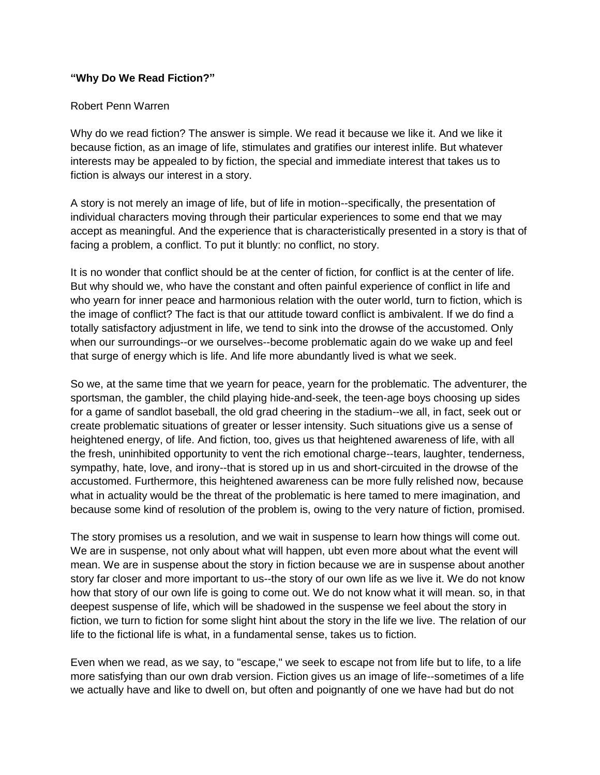## **"Why Do We Read Fiction?"**

## Robert Penn Warren

Why do we read fiction? The answer is simple. We read it because we like it. And we like it because fiction, as an image of life, stimulates and gratifies our interest inlife. But whatever interests may be appealed to by fiction, the special and immediate interest that takes us to fiction is always our interest in a story.

A story is not merely an image of life, but of life in motion--specifically, the presentation of individual characters moving through their particular experiences to some end that we may accept as meaningful. And the experience that is characteristically presented in a story is that of facing a problem, a conflict. To put it bluntly: no conflict, no story.

It is no wonder that conflict should be at the center of fiction, for conflict is at the center of life. But why should we, who have the constant and often painful experience of conflict in life and who yearn for inner peace and harmonious relation with the outer world, turn to fiction, which is the image of conflict? The fact is that our attitude toward conflict is ambivalent. If we do find a totally satisfactory adjustment in life, we tend to sink into the drowse of the accustomed. Only when our surroundings--or we ourselves--become problematic again do we wake up and feel that surge of energy which is life. And life more abundantly lived is what we seek.

So we, at the same time that we yearn for peace, yearn for the problematic. The adventurer, the sportsman, the gambler, the child playing hide-and-seek, the teen-age boys choosing up sides for a game of sandlot baseball, the old grad cheering in the stadium--we all, in fact, seek out or create problematic situations of greater or lesser intensity. Such situations give us a sense of heightened energy, of life. And fiction, too, gives us that heightened awareness of life, with all the fresh, uninhibited opportunity to vent the rich emotional charge--tears, laughter, tenderness, sympathy, hate, love, and irony--that is stored up in us and short-circuited in the drowse of the accustomed. Furthermore, this heightened awareness can be more fully relished now, because what in actuality would be the threat of the problematic is here tamed to mere imagination, and because some kind of resolution of the problem is, owing to the very nature of fiction, promised.

The story promises us a resolution, and we wait in suspense to learn how things will come out. We are in suspense, not only about what will happen, ubt even more about what the event will mean. We are in suspense about the story in fiction because we are in suspense about another story far closer and more important to us--the story of our own life as we live it. We do not know how that story of our own life is going to come out. We do not know what it will mean. so, in that deepest suspense of life, which will be shadowed in the suspense we feel about the story in fiction, we turn to fiction for some slight hint about the story in the life we live. The relation of our life to the fictional life is what, in a fundamental sense, takes us to fiction.

Even when we read, as we say, to "escape," we seek to escape not from life but to life, to a life more satisfying than our own drab version. Fiction gives us an image of life--sometimes of a life we actually have and like to dwell on, but often and poignantly of one we have had but do not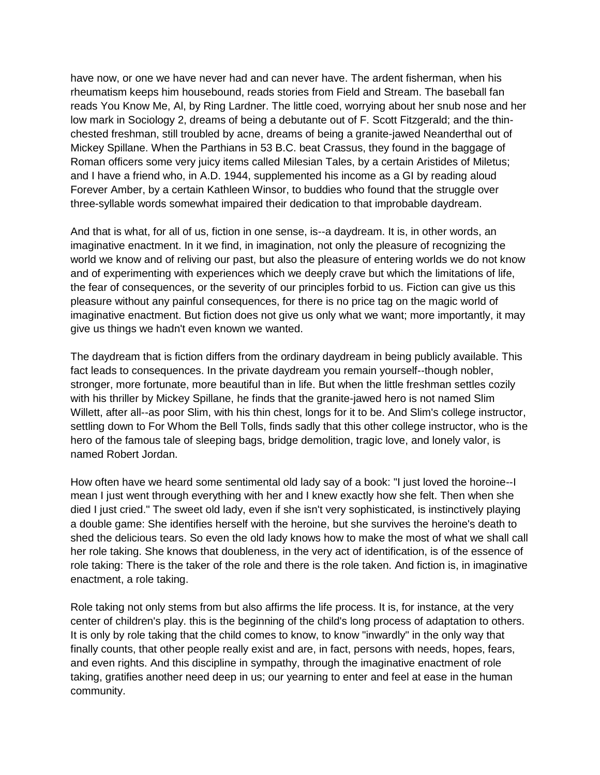have now, or one we have never had and can never have. The ardent fisherman, when his rheumatism keeps him housebound, reads stories from Field and Stream. The baseball fan reads You Know Me, Al, by Ring Lardner. The little coed, worrying about her snub nose and her low mark in Sociology 2, dreams of being a debutante out of F. Scott Fitzgerald; and the thinchested freshman, still troubled by acne, dreams of being a granite-jawed Neanderthal out of Mickey Spillane. When the Parthians in 53 B.C. beat Crassus, they found in the baggage of Roman officers some very juicy items called Milesian Tales, by a certain Aristides of Miletus; and I have a friend who, in A.D. 1944, supplemented his income as a GI by reading aloud Forever Amber, by a certain Kathleen Winsor, to buddies who found that the struggle over three-syllable words somewhat impaired their dedication to that improbable daydream.

And that is what, for all of us, fiction in one sense, is--a daydream. It is, in other words, an imaginative enactment. In it we find, in imagination, not only the pleasure of recognizing the world we know and of reliving our past, but also the pleasure of entering worlds we do not know and of experimenting with experiences which we deeply crave but which the limitations of life, the fear of consequences, or the severity of our principles forbid to us. Fiction can give us this pleasure without any painful consequences, for there is no price tag on the magic world of imaginative enactment. But fiction does not give us only what we want; more importantly, it may give us things we hadn't even known we wanted.

The daydream that is fiction differs from the ordinary daydream in being publicly available. This fact leads to consequences. In the private daydream you remain yourself--though nobler, stronger, more fortunate, more beautiful than in life. But when the little freshman settles cozily with his thriller by Mickey Spillane, he finds that the granite-jawed hero is not named Slim Willett, after all--as poor Slim, with his thin chest, longs for it to be. And Slim's college instructor, settling down to For Whom the Bell Tolls, finds sadly that this other college instructor, who is the hero of the famous tale of sleeping bags, bridge demolition, tragic love, and lonely valor, is named Robert Jordan.

How often have we heard some sentimental old lady say of a book: "I just loved the horoine--I mean I just went through everything with her and I knew exactly how she felt. Then when she died I just cried." The sweet old lady, even if she isn't very sophisticated, is instinctively playing a double game: She identifies herself with the heroine, but she survives the heroine's death to shed the delicious tears. So even the old lady knows how to make the most of what we shall call her role taking. She knows that doubleness, in the very act of identification, is of the essence of role taking: There is the taker of the role and there is the role taken. And fiction is, in imaginative enactment, a role taking.

Role taking not only stems from but also affirms the life process. It is, for instance, at the very center of children's play. this is the beginning of the child's long process of adaptation to others. It is only by role taking that the child comes to know, to know "inwardly" in the only way that finally counts, that other people really exist and are, in fact, persons with needs, hopes, fears, and even rights. And this discipline in sympathy, through the imaginative enactment of role taking, gratifies another need deep in us; our yearning to enter and feel at ease in the human community.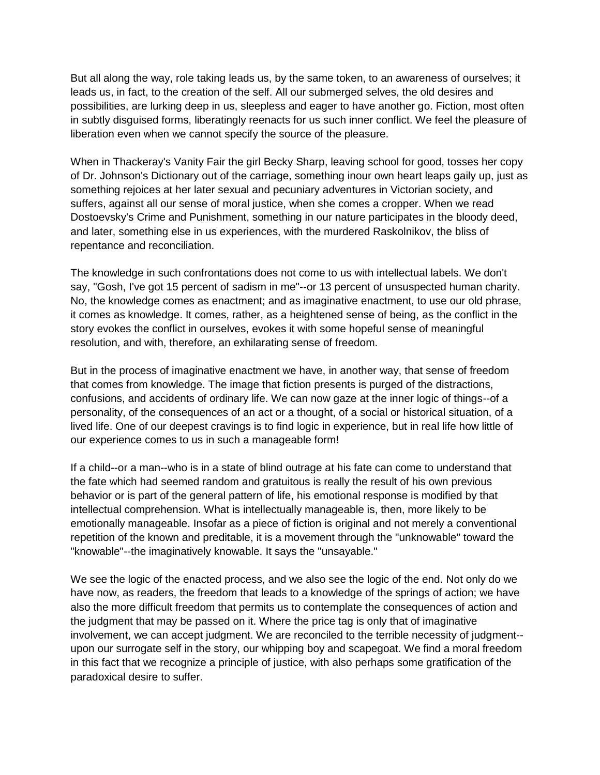But all along the way, role taking leads us, by the same token, to an awareness of ourselves; it leads us, in fact, to the creation of the self. All our submerged selves, the old desires and possibilities, are lurking deep in us, sleepless and eager to have another go. Fiction, most often in subtly disguised forms, liberatingly reenacts for us such inner conflict. We feel the pleasure of liberation even when we cannot specify the source of the pleasure.

When in Thackeray's Vanity Fair the girl Becky Sharp, leaving school for good, tosses her copy of Dr. Johnson's Dictionary out of the carriage, something inour own heart leaps gaily up, just as something rejoices at her later sexual and pecuniary adventures in Victorian society, and suffers, against all our sense of moral justice, when she comes a cropper. When we read Dostoevsky's Crime and Punishment, something in our nature participates in the bloody deed, and later, something else in us experiences, with the murdered Raskolnikov, the bliss of repentance and reconciliation.

The knowledge in such confrontations does not come to us with intellectual labels. We don't say, "Gosh, I've got 15 percent of sadism in me"--or 13 percent of unsuspected human charity. No, the knowledge comes as enactment; and as imaginative enactment, to use our old phrase, it comes as knowledge. It comes, rather, as a heightened sense of being, as the conflict in the story evokes the conflict in ourselves, evokes it with some hopeful sense of meaningful resolution, and with, therefore, an exhilarating sense of freedom.

But in the process of imaginative enactment we have, in another way, that sense of freedom that comes from knowledge. The image that fiction presents is purged of the distractions, confusions, and accidents of ordinary life. We can now gaze at the inner logic of things--of a personality, of the consequences of an act or a thought, of a social or historical situation, of a lived life. One of our deepest cravings is to find logic in experience, but in real life how little of our experience comes to us in such a manageable form!

If a child--or a man--who is in a state of blind outrage at his fate can come to understand that the fate which had seemed random and gratuitous is really the result of his own previous behavior or is part of the general pattern of life, his emotional response is modified by that intellectual comprehension. What is intellectually manageable is, then, more likely to be emotionally manageable. Insofar as a piece of fiction is original and not merely a conventional repetition of the known and preditable, it is a movement through the "unknowable" toward the "knowable"--the imaginatively knowable. It says the "unsayable."

We see the logic of the enacted process, and we also see the logic of the end. Not only do we have now, as readers, the freedom that leads to a knowledge of the springs of action; we have also the more difficult freedom that permits us to contemplate the consequences of action and the judgment that may be passed on it. Where the price tag is only that of imaginative involvement, we can accept judgment. We are reconciled to the terrible necessity of judgment- upon our surrogate self in the story, our whipping boy and scapegoat. We find a moral freedom in this fact that we recognize a principle of justice, with also perhaps some gratification of the paradoxical desire to suffer.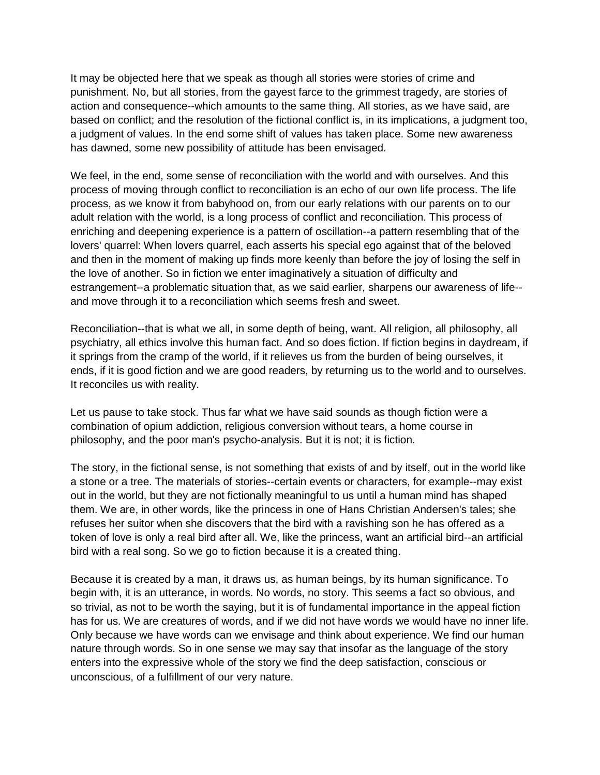It may be objected here that we speak as though all stories were stories of crime and punishment. No, but all stories, from the gayest farce to the grimmest tragedy, are stories of action and consequence--which amounts to the same thing. All stories, as we have said, are based on conflict; and the resolution of the fictional conflict is, in its implications, a judgment too, a judgment of values. In the end some shift of values has taken place. Some new awareness has dawned, some new possibility of attitude has been envisaged.

We feel, in the end, some sense of reconciliation with the world and with ourselves. And this process of moving through conflict to reconciliation is an echo of our own life process. The life process, as we know it from babyhood on, from our early relations with our parents on to our adult relation with the world, is a long process of conflict and reconciliation. This process of enriching and deepening experience is a pattern of oscillation--a pattern resembling that of the lovers' quarrel: When lovers quarrel, each asserts his special ego against that of the beloved and then in the moment of making up finds more keenly than before the joy of losing the self in the love of another. So in fiction we enter imaginatively a situation of difficulty and estrangement--a problematic situation that, as we said earlier, sharpens our awareness of life- and move through it to a reconciliation which seems fresh and sweet.

Reconciliation--that is what we all, in some depth of being, want. All religion, all philosophy, all psychiatry, all ethics involve this human fact. And so does fiction. If fiction begins in daydream, if it springs from the cramp of the world, if it relieves us from the burden of being ourselves, it ends, if it is good fiction and we are good readers, by returning us to the world and to ourselves. It reconciles us with reality.

Let us pause to take stock. Thus far what we have said sounds as though fiction were a combination of opium addiction, religious conversion without tears, a home course in philosophy, and the poor man's psycho-analysis. But it is not; it is fiction.

The story, in the fictional sense, is not something that exists of and by itself, out in the world like a stone or a tree. The materials of stories--certain events or characters, for example--may exist out in the world, but they are not fictionally meaningful to us until a human mind has shaped them. We are, in other words, like the princess in one of Hans Christian Andersen's tales; she refuses her suitor when she discovers that the bird with a ravishing son he has offered as a token of love is only a real bird after all. We, like the princess, want an artificial bird--an artificial bird with a real song. So we go to fiction because it is a created thing.

Because it is created by a man, it draws us, as human beings, by its human significance. To begin with, it is an utterance, in words. No words, no story. This seems a fact so obvious, and so trivial, as not to be worth the saying, but it is of fundamental importance in the appeal fiction has for us. We are creatures of words, and if we did not have words we would have no inner life. Only because we have words can we envisage and think about experience. We find our human nature through words. So in one sense we may say that insofar as the language of the story enters into the expressive whole of the story we find the deep satisfaction, conscious or unconscious, of a fulfillment of our very nature.